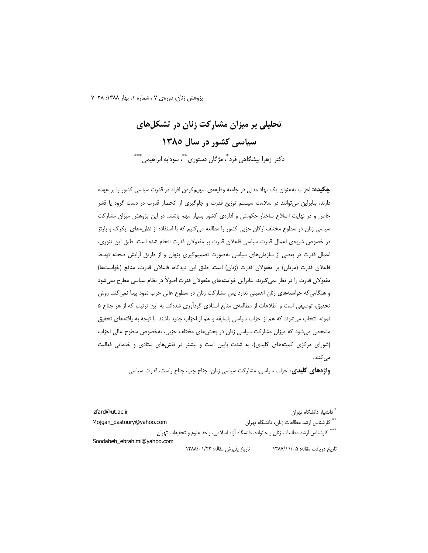پژوهش زنان، دورهی ۷ ، شماره ۱، بهار ۱۳۸۸: ۲۸–۷

تحلیلی بر میزان مشارکت زنان در تشکلهای سیاسی کشور در سال ۱۳۸۵ دکتر زهرا پیشگاهی فرد ٌ، مژگان دستوری ٌ ٌ ٌ، سودابه ابراهیمی ٌ \*\*\*

**چکیده:** احزاب بهعنوان یک نهاد مدنی در جامعه وظیفهی سهیم *ک*ردن افراد در قدرت سیاسی کشور را بر عهده دارند، بنابراین میتوانند در سلامت سیستم توزیع قدرت و جلوگیری از انحصار قدرت در دست گروه یا قشر خاص و در نهایت اصلاح ساختار حکومتی و ادارهی کشور بسیار مهم باشند. در این پژوهش میزان مشارکت سیاسی زنان در سطوح مختلف ارکان حزبی کشور را مطالعه می کنیم که با استفاده از نظریههای بکرک و بارتز در خصوص شیوهی اعمال قدرت سیاسی فاعلان قدرت بر مفعولان قدرت انجام شده است. طبق این تئوری، اعمال قدرت در بعضی از سازمانهای سیاسی بهصورت تصمیم گیری پنهان و از طریق آرایش صحنه توسط فاعلان قدرت (مردان) بر مفعولان قدرت (زنان) است. طبق این دیدگاه، فاعلان قدرت، منافع (خواستها) مفعولان قدرت را در نظر نمی£یرند، بنابراین خواستههای مفعولان قدرت اصولاً در نظام سیاسی مطرح نمیشود و هنگامی که خواستههای زنان اهمیتی ندارد پس مشارکت زنان در سطوح عالی حزب نمود پیدا نمی کند. روش تحقیق، توصیفی است و اطلاعات از مطالعهی منابع اسنادی گردآوری شدهاند. به این ترتیب که از هر جناح ۵ نمونه انتخاب می شوند که هم از احزاب سیاسی باسابقه و هم از احزاب جدید باشند. با توجه به یافتههای تحقیق مشخص میشود که میزان مشارکت سیاسی زنان در بخشهای مختلف حزبی، بهخصوص سطوح عالی احزاب (شورای مرکزی کمیتههای کلیدی)، به شدت پایین است و بیشتر در نقشهای ستادی و خدماتی فعالیت مى كنند.

**واژههای کلیدی**: احزاب سیاسی، مشارکت سیاسی زنان، جناح چپ، جناح راست، قدرت سیاسی

ٌ دانشیار دانشگاه تهران zfard@ut.ac.ir \*\* كارشناس ارشد مطالعات زنان، دانشگاه تهران Mojgan\_dastoury@yahoo.com \*\*\* كارشناس ارشد مطالعات زنان و خانواده، دانشگاه آزاد اسلامى، واحد علوم و تحقيقات تهران Soodabeh ebrahimi@yahoo.com تاريخ دريافت مقاله: ١٣٨٧/١١/٠٥ تاريخ پذيرش مقاله: ١٣٨٨/٠١/٢٣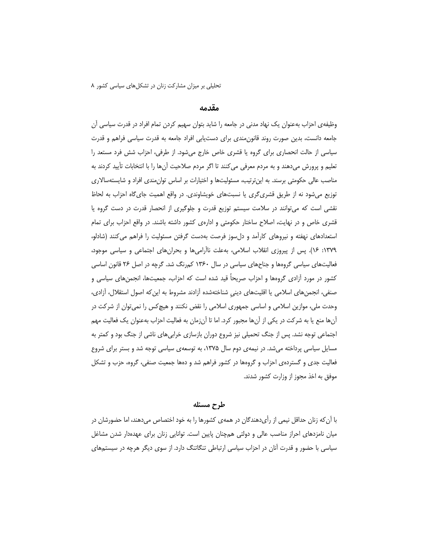## مقدمه

وظیفهی احزاب بهعنوان یک نهاد مدنی در جامعه را شاید بتوان سهیم کردن تمام افراد در قدرت سیاسی آن جامعه دانست، بدین صورت روند قانون مندی برای دست یابی افراد جامعه به قدرت سیاسی فراهم و قدرت سیاسی از حالت انحصاری برای گروه یا قشری خاص خارج میشود. از طرفی، احزاب شش فرد مستعد را تعليم و پرورش مي دهند و به مردم معرفي مي كنند تا اگر مردم صلاحيت آن ها را با انتخابات تأييد كردند به مناصب عالی حکومتی برسند. به این ترتیب، مسئولیتها و اختیارات بر اساس توان0مندی افراد و شایستهسالاری توزیع میشود نه از طریق قشری گری یا نسبتهای خویشاوندی. در واقع اهمیت جای گاه احزاب به لحاظ نقشی است که میتوانند در سلامت سیستم توزیع قدرت و جلوگیری از انحصار قدرت در دست گروه یا قشری خاص و در نهایت، اصلاح ساختار حکومتی و ادارهی کشور داشته باشند. در واقع احزاب برای تمام استعدادهای نهفته و نیروهای کارآمد و دل سوز فرصت بهدست گرفتن مسئولیت را فراهم می کنند (شادلو، ۱۳۷۹: ۱۶). پس از پیروزی انقلاب اسلامی، بهعلت ناآرامیها و بحرانِهای اجتماعی و سیاسی موجود، فعالیتهای سیاسی گروهها و جناحهای سیاسی در سال ۱۳۶۰ کمرنگ شد. گرچه در اصل ۲۶ قانون اساسی کشور در مورد آزادی گروهها و احزاب صریحاً قید شده است که احزاب، جمعیتها، انجمنهای سیاسی و صنفی، انجمنهای اسلامی یا اقلیتهای دینی شناختهشده آزادند مشروط به این که اصول استقلال، آزادی، وحدت ملی، موازین اسلامی و اساسی جمهوری اسلامی را نقض نکنند و هیچ کس را نمیتوان از شرکت در آنها منع یا به شرکت در یکی از آنها مجبور کرد. اما تا آنزمان به فعالیت احزاب بهعنوان یک فعالیت مهم اجتماعی توجه نشد. پس از جنگ تحمیلی نیز شروع دوران بازسازی خرابیهای ناشی از جنگ بود و کمتر به مسایل سیاسی پرداخته میشد. در نیمهی دوم سال ۱۳۷۵، به توسعهی سیاسی توجه شد و بستر برای شروع فعالیت جدی و گستردهی احزاب و گروهها در کشور فراهم شد و دهها جمعیت صنفی، گروه، حزب و تشکل موفق به اخذ مجوز از وزارت کشور شدند.

#### طرح مسئله

با آن که زنان حداقل نیمی از رأیدهندگان در همهی کشورها را به خود اختصاص میدهند، اما حضورشان در میان نامزدهای احراز مناصب عالی و دولتی همچنان پایین است. توانایی زنان برای عهدهدار شدن مشاغل سیاسی با حضور و قدرت انان در احزاب سیاسی ارتباطی تنگاتنگ دارد. از سوی دیگر هرچه در سیستمهای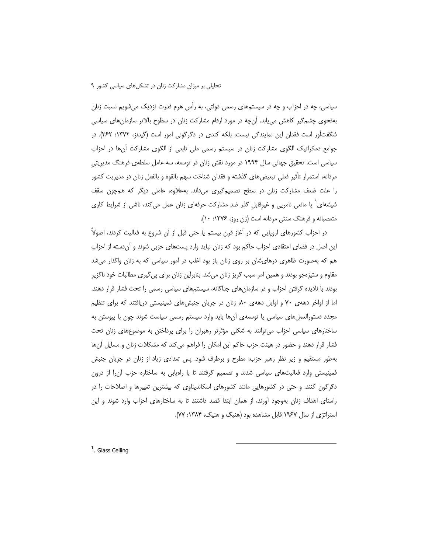سیاسی، چه در احزاب و چه در سیستمهای رسمی دولتی، به رأس هرم قدرت نزدیک میشویم نسبت زنان بهنحوی چشم گیر کاهش می بابد. آن چه در مورد ارقام مشارکت زنان در سطوح بالاتر سازمان های سیاسی شگفتآور است فقدان این نمایندگی نیست، بلکه کندی در دگرگونی امور است (گیدنز، ۱۳۷۲: ۳۶۲). در جوامع دمکراتیک الگوی مشارکت زنان در سیستم رسمی ملی تابعی از الگوی مشارکت آنها در احزاب سیاسی است. تحقیق جهانی سال ۱۹۹۴ در مورد نقش زنان در توسعه، سه عامل سلطهی فرهنگ مدیریتی مردانه، استمرار تأثیر فعلی تبعیضهای گذشته و فقدان شناخت سهم بالقوه و بالفعل زنان در مدیریت کشور را علت ضعف مشارکت زنان در سطح تصمیمگیری میداند. بهعلاوه، عاملی دیگر که همچون سقف شیشهای<sup>\</sup> یا مانعی نامریی و غیرقابل گذر ضدِ مشارکت حرفهای زنان عمل می¢ند، ناشی از شرایط کاری متعصبانه و فرهنگ سنتی مردانه است (زن روز، ۱۳۷۶: ۱۰).

در احزاب کشورهای اروپایی که در آغاز قرن بیستم یا حتی قبل از آن شروع به فعالیت کردند، اصولاً این اصل در فضای اعتقادی احزاب حاکم بود که زنان نباید وارد پستهای حزبی شوند و آندسته از احزاب هم که بهصورت ظاهری درهایشان بر روی زنان باز بود اغلب در امور سیاسی که به زنان واگذار میشد مقاوم و ستیزمجو بودند و همین امر سبب گریز زنان میشد. بنابراین زنان برای پی¢یری مطالبات خود ناگزیر بودند با نادیده گرفتن احزاب و در سازمانهای جداگانه، سیستمهای سیاسی رسمی را تحت فشار قرار دهند. اما از اواخر دههی ۷۰ و اوایل دههی ۸۰، زنان در جریان جنبش های فمینیستی دریافتند که برای تنظیم مجدد دستورالعملهای سیاسی یا توسعهی أنها باید وارد سیستم رسمی سیاست شوند چون با پیوستن به ساختارهای سیاسی احزاب می توانند به شکلی مؤثرتر رهبران را برای پرداختن به موضوعهای زنان تحت فشار قرار دهند و حضور در هیئت حزب حاکم این امکان را فراهم میکند که مشکلات زنان و مسایل اًنها بهطور مستقیم و زیر نظر رهبر حزب، مطرح و برطرف شود. پس تعدادی زیاد از زنان در جریان جنبش فمینیستی وارد فعالیتهای سیاسی شدند و تصمیم گرفتند تا با راهیابی به ساختاره حزب آن را از درون دگرگون کنند. و حتی در کشورهایی مانند کشورهای اسکاندیناوی که بیشترین تغییرها و اصلاحات را در راستای اهداف زنان بهوجود آورند، از همان ابتدا قصد داشتند تا به ساختارهای احزاب وارد شوند و این استراتژی از سال ۱۹۶۷ قابل مشاهده بود (هنیگ و هنیگ، ۱۳۸۴: ۷۷).

<sup>1</sup>. Glass Ceiling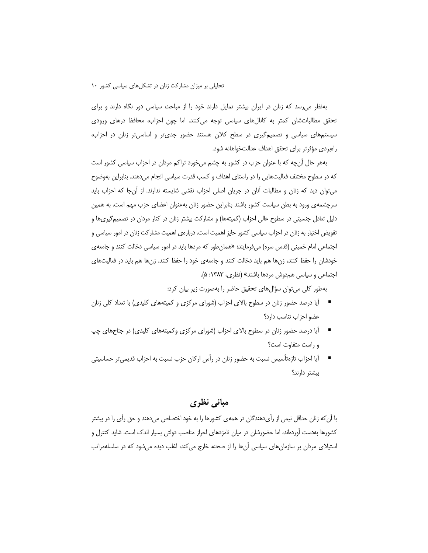بهنظر می رسد که زنان در ایران بیشتر تمایل دارند خود را از مباحث سیاسی دور نگاه دارند و برای تحقق مطالباتشان کمتر به کانالهای سیاسی توجه میکنند. اما چون احزاب، محافظ درهای ورودی سیستمهای سیاسی و تصمیمگیری در سطح کلان هستند حضور جدیتر و اساسیتر زنان در احزاب، راەبردى مؤثرتر براى تحقق اهداف عدالتخواهانه شود.

بههر حال آنچه که با عنوان حزب در کشور به چشم میخورد تراکم مردان در احزاب سیاسی کشور است که در سطوح مختلف فعالیتهایی را در راستای اهداف و کسب قدرت سیاسی انجام میدهند. بنابراین بهوضوح میتوان دید که زنان و مطالبات آنان در جریان اصلی احزاب نقشی شایسته ندارند. از آنجا که احزاب باید سرچشمهی ورود به بطن سیاست کشور باشند بنابراین حضور زنان بهعنوان اعضای حزب مهم است. به همین دلیل تعادل جنسیتی در سطوح عالی احزاب (کمیتهها) و مشارکت بیشتر زنان در کنار مردان در تصمیمگیریها و تفویض اختیار به زنان در احزاب سیاسی کشور حایز اهمیت است. دربارهی اهمیت مشارکت زنان در امور سیاسی و اجتماعی امام خمینی (قدس سره) میفرمایند: «همان طور که مردها باید در امور سیاسی دخالت کنند و جامعه ی خودشان را حفظ کنند، زنها هم باید دخالت کنند و جامعهی خود را حفظ کنند. زنها هم باید در فعالیتهای اجتماعی و سیاسی همدوش مردها باشند» (نظری، ۱۳۸۳: ۵).

بهطور كلي مي توان سؤال هاي تحقيق حاضر را بهصورت زير بيان كرد:

- \_ أيا درصد حضور زنان در سطوح بالاي احزاب (شوراي مركزي و كميتههاي كليدي) با تعداد كلي زنان عضو احزاب تناسب دارد؟
- \_ آیا درصد حضور زنان در سطوح بالای احزاب (شورای مرکزی وکمیتههای کلیدی) در جناحهای چپ و راست متفاوت است؟
- \_ أيا احزاب تازەتأسيس نسبت به حضور زنان در رأس اركان حزب نسبت به احزاب قديميتر حساسيتي بیشتر دارند؟

## مبانی نظری

با آن که زنان حداقل نیمی از رأیدهندگان در همهی کشورها را به خود اختصاص میدهند و حق رأی را در بیشتر کشورها بهدست آوردهاند، اما حضورشان در میان نامزدهای احراز مناصب دولتی بسیار اندک است. شاید کنترل و استیلای مردان بر سازمانهای سیاسی آنها را از صحنه خارج می کند، اغلب دیده میشود که در سلسلهمراتب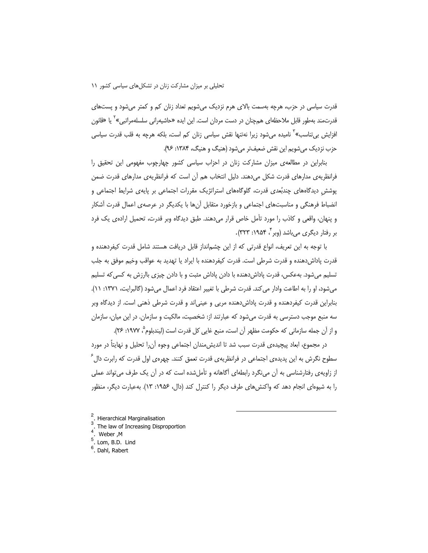قدرت سیاسی در حزب، هرچه بهسمت بالای هرم نزدیک میشویم تعداد زنان کم و کمتر میشود و پستهای قدرتمند بهطور قابل ملاحظهای همچنان در دست مردان است. این ایده «حاشیهرانی سلسلهمراتبی»<sup>۲</sup> یا «قانون افزایش بی¤ناسب»<sup>۲</sup> نامیده میشود زیرا نهتنها نقش سیاسی زنان کم است، بلکه هرچه به قلب قدرت سیاسی حزب نزديک مي شويم اين نقش ضعيفتر مي شود (هنيگ و هنيگ، ۱۳۸۴: ۹۶).

بنابراین در مطالعهی میزان مشارکت زنان در احزاب سیاسی کشور چهارچوب مفهومی این تحقیق را فرانظریهی مدارهای قدرت شکل میدهند. دلیل انتخاب هم آن است که فرانظریهی مدارهای قدرت ضمن پوشش دیدگاههای چندبُعدی قدرت، گلوگاههای استراتژیک مقررات اجتماعی بر پایهی شرایط اجتماعی و انضباط فرهنگی و مناسبتهای اجتماعی و بازخورد متقابل آنها با یکدیگر در عرصهی اعمال قدرت آشکار و پنهان، واقعی و کاذب را مورد تأمل خاص قرار میدهند. طبق دیدگاه وبر قدرت، تحمیل ارادهی یک فرد بر رفتار دیگری می باشد (وبر ٔ ۱۹۵۴: ۳۲۳).

با توجه به این تعریف، انواع قدرتی که از این چشمانداز قابل دریافت هستند شامل قدرت کیفردهنده و قدرت پاداشدهنده و قدرت شرطی است. قدرت کیفردهنده با ایراد یا تهدید به عواقب وخیم موفق به جلب تسلیم میشود. بهعکس، قدرت پاداشدهنده با دادن پاداش مثبت و با دادن چیزی باارزش به کسی که تسلیم می شود، او را به اطاعت وادار می کند. قدرت شرطی با تغییر اعتقاد فرد اعمال می شود (گالبرایت، ۱۳۷۱: ۱۱). بنابراین قدرت کیفردهنده و قدرت پاداشدهنده مریی و عینیاند و قدرت شرطی ذهنی است. از دیدگاه وبر سه منبع موجب دسترسی به قدرت میشود که عبارتند از: شخصیت، مالکیت و سازمان. در این میان، سازمان و از آن جمله سازمانی که حکومت مظهر آن است، منبع غایی کل قدرت است (لیندبلوم ْ، ۱۹۷۷: ۲۶).

در مجموع، ابعاد پیچیدهی قدرت سبب شد تا اندیشءندان اجتماعی وجوه آنرا تحلیل و نهایتاً در مورد سطوح نگرش به این پدیدهی اجتماعی در فرانظریهی قدرت تعمق کنند. چهرهی اول قدرت که رابرت دال<sup>۶</sup> از زاویهی رفتارشناسی به آن می نگرد رابطهای آگاهانه و تأمل شده است که در آن یک طرف می تواند عملی را به شیوهای انجام دهد که واکنش های طرف دیگر را کنترل کند (دال، ۱۹۵۶: ۱۳). بهعبارت دیگر، منظور

Hierarchical Marginalisation

The law of Increasing Disproportion

 $4.$  Weber, M

 $<sup>5</sup>$ . Lom, B.D. Lind</sup>

<sup>&</sup>lt;sup>6</sup>. Dahl, Rabert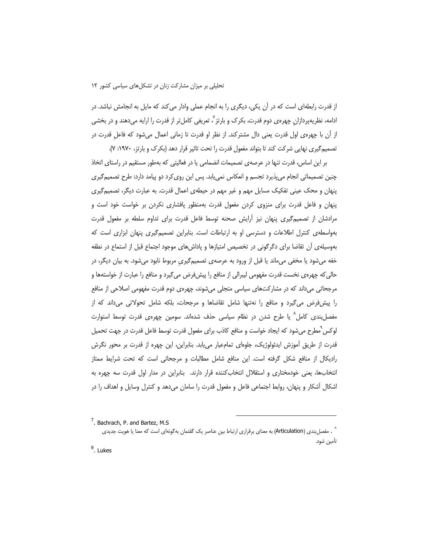از قدرت رابطهای است که در آن یکی، دیگری را به انجام عملی وادار می کند که مایل به انجامش نباشد. در ادامه، نظریهپردازان چهرهی دوم قدرت، بکرک و بارتز<sup>۷</sup>، تعریفی کاملتر از قدرت را ارایه میدهند و در بخشی از آن با چهرهی اول قدرت یعنی دال مشترکند. از نظر او قدرت تا زمانی اعمال میشود که فاعل قدرت در تصمیم گیری نهایی شرکت کند تا بتواند مفعول قدرت را تحت تاثیر قرار دهد (بکرک و بارتز، ۱۹۷۰: ۷).

بر این اساس، قدرت تنها در عرصهی تصمیمات انضمامی یا در فعالیتی که بهطور مستقیم در راستای اتخاذ چنین تصمیماتی انجام می پذیرد تجسم و انعکاس نمی یابد. پس این روی کرد دو پیامد دارد: طرح تصمیم گیری پنهان و محک عینی تفکیک مسایل مهم و غیر مهم در حیطهی اعمال قدرت. به عبارت دیگر، تصمیمگیری ینهان و فاعل قدرت برای منزوی کردن مفعول قدرت بهمنظور یافشاری نکردن بر خواست خود است و مرادشان از تصمیم گیری پنهان نیز آرایش صحنه توسط فاعل قدرت برای تداوم سلطه بر مفعول قدرت بهواسطهی کنترل اطلاعات و دسترسی او به ارتباطات است. بنابراین تصمیمگیری پنهان ابزاری است که بهوسیلهی أن تقاضا برای دگرگونی در تخصیص امتیازها و پاداشهای موجود اجتماع قبل از استماع در نطفه خفه میشود یا مخفی میماند یا قبل از ورود به عرصهی تصمیمگیری مربوط نابود میشود. به بیان دیگر، در حالی که چهرهی نخست قدرت مفهومی لیبرالی از منافع را پیشفرض میگیرد و منافع را عبارت از خواستهها و مرجحاتی میداند که در مشارکتهای سیاسی متجلی میشوند، چهرهی دوم قدرت مفهومی اصلاحی از منافع را پیشفرض میگیرد و منافع را نهتنها شامل تقاضاها و مرجحات، بلکه شامل تحولاتی میداند که از مفصل بندی کامل^ یا طرح شدن در نظام سیاسی حذف شدهاند. سومین چهرهی قدرت توسط استوارت لوکس`مطرح می شود که ایجاد خواست و منافع کاذب برای مفعول قدرت توسط فاعل قدرت در جهت تحمیل قدرت از طریق اًموزش ایدئولوژیک، جلوهای تمامعیار می یابد. بنابراین، این چهره از قدرت بر محور نگرش رادیکال از منافع شکل گرفته است. این منافع شامل مطالبات و مرجحاتی است که تحت شرایط ممتاز انتخابها، یعنی خودمختاری و استقلال انتخاب کننده قرار دارند. بنابراین در مدار اول قدرت سه چهره به اشکال أشکار و پنهان، روابط اجتماعی فاعل و مفعول قدرت را سامان میدهد و کنترل وسایل و اهداف را در

 $9.$  Lukes

<sup>&</sup>lt;sup>7</sup>. Bachrach, P. and Bartez, M.S

<sup>^ .</sup> مفصل بندی (Articulation) به معنای برقراری ارتباط بین عناصر یک گفتمان بهگونهای است که معنا یا هویت جدیدی تأمين شود.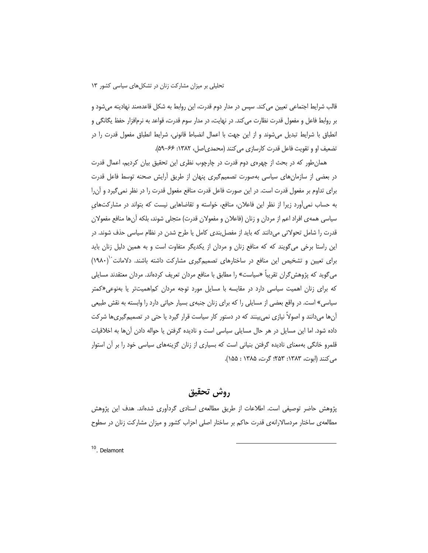قالب شرایط اجتماعی تعیین می کند. سپس در مدار دوم قدرت، این روابط به شکل قاعدهمند نهادینه میشود و بر روابط فاعل و مفعول قدرت نظارت می کند. در نهایت، در مدار سوم قدرت، قواعد به نرمافزار حفظ یگانگی و انطباق با شرایط تبدیل میشوند و از این جهت با اعمال انضباط قانونی، شرایط انطباق مفعول قدرت را در تضعيف او و تقويت فاعل قدرت كارسازي مي كنند (محمدي اصل، ١٣٨٢: ۶۶-۵۹).

همان طور که در بحث از چهرهی دوم قدرت در چارچوب نظری این تحقیق بیان کردیم، اعمال قدرت در بعضی از سازمان های سیاسی بهصورت تصمیم گیری پنهان از طریق آرایش صحنه توسط فاعل قدرت برای تداوم بر مفعول قدرت است. در این صورت فاعل قدرت منافع مفعول قدرت را در نظر نمی گیرد و آن را به حساب نمی آورد زیرا از نظر این فاعلان، منافع، خواسته و تقاضاهایی نیست که بتواند در مشارکتهای سیاسی همهی افراد اعم از مردان و زنان (فاعلان و مفعولان قدرت) متجلی شوند، بلکه آنها منافع مفعولان قدرت را شامل تحولاتی میدانند که باید از مفصل بندی کامل یا طرح شدن در نظام سیاسی حذف شوند. در این راستا برخی می گویند که که منافع زنان و مردان از یکدیگر متفاوت است و به همین دلیل زنان باید برای تعیین و تشخیص این منافع در ساختارهای تصمیمگیری مشارکت داشته باشند. دلامانت (۱۹۸۰) میگوید که پژوهش گران تقریباً «سیاست» را مطابق با منافع مردان تعریف کردهاند. مردان معتقدند مسایلی که برای زنان اهمیت سیاسی دارد در مقایسه با مسایل مورد توجه مردان کماهمیتتر یا بهنوعی«کمتر سیاسی» است. در واقع بعضی از مسایلی را که برای زنان جنبهی بسیار حیاتی دارد را وابسته به نقش طبیعی آنها میدانند و اصولاً نیازی نمیبینند که در دستور کار سیاست قرار گیرد یا حتی در تصمیمگیریها شرکت داده شود. اما این مسایل در هر حال مسایلی سیاسی است و نادیده گرفتن یا حواله دادن آنها به اخلاقیات قلمرو خانگی بهمعنای نادیده گرفتن بنیانی است که بسیاری از زنان گزینههای سیاسی خود را بر آن استوار مي كنند (ابوت، ١٣٨٣: ٢۵٣؛ گرت، ١٢٨۵: ١۵۵).

# روش تحقيق

پژوهش حاضر توصیفی است. اطلاعات از طریق مطالعهی اسنادی گرداُوری شدهاند. هدف این پژوهش مطالعهی ساختار مردسالارانهی قدرت حاکم بر ساختار اصلی احزاب کشور و میزان مشارکت زنان در سطوح

<sup>10</sup>. Delamont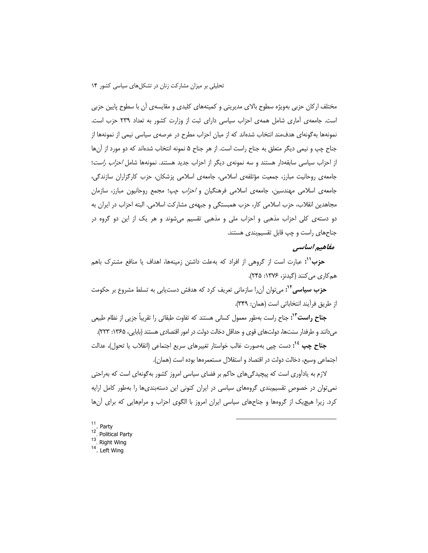مختلف ارکان حزبی بهویژه سطوح بالای مدیریتی و کمیتههای کلیدی و مقایسهی آن با سطوح پایین حزبی است. جامعهی آماری شامل همهی احزاب سیاسی دارای ثبت از وزارت کشور به تعداد ۲۳۹ حزب است. نمونهها بهگونهای هدف،مند انتخاب شدهاند که از میان احزاب مطرح در عرصهی سیاسی نیمی از نمونهها از جناح چپ و نیمی دیگر متعلق به جناح راست است. از هر جناح ۵ نمونه انتخاب شدهاند که دو مورد از آنها از احزاب سیاسی سابقهدار هستند و سه نمونهی دیگر از احزاب جدید هستند. نمونهها شامل *احزاب راست*؛ جامعهی روحانیت مبارز، جمعیت مؤتلفهی اسلامی، جامعهی اسلامی پزشکان، حزب کارگزاران سازندگی، جامعهی اسلامی مهندسین، جامعهی اسلامی فرهنگیان و *احزاب چپ*؛ مجمع روحانیون مبارز، سازمان مجاهدین انقلاب، حزب اسلامی کار، حزب همبستگی و جبههی مشارکت اسلامی. البته احزاب در ایران به دو دستهی کلی احزاب مذهبی و احزاب ملی و مذهبی تقسیم میشوند و هر یک از این دو گروه در جناحهای راست و چپ قابل تقسیمبندی هستند.

## مفاهيم اساسي

**حزب'':** عبارت است از گروهی از افراد که بهعلت داشتن زمینهها، اهداف یا منافع مشترک باهم هم کاری می کنند (گیدنز، ۱۳۷۶: ۲۴۵).

**حزب سیاسی<sup>11</sup>:** می توان آن را سازمانی تعریف کرد که هدفش دست.یابی به تسلط مشروع بر حکومت از طريق فرآيند انتخاباتي است (همان: ٣۴٩).

**جناح راست°'**: جناح راست بهطور معمول کسانی هستند که تفاوت طبقاتی را تقریباً جزیی از نظام طبیعی میدانند و طرفدار سنتها، دولتهای قوی و حداقل دخالت دولت در امور اقتصادی هستند (بابایی، ۱۳۶۵: ۲۲۳).

**جناح چپ <sup>14</sup>:** دست چیی بهصورت غالب خواستار تغییرهای سریع اجتماعی (انقلاب یا تحول)، عدالت اجتماعي وسيع، دخالت دولت در اقتصاد و استقلال مستعمرهها بوده است (همان).

لازم به یادآوری است که پیچیدگیهای حاکم بر فضای سیاسی امروز کشور بهگونهای است که بهراحتی نمی توان در خصوص تقسیم بندی گروههای سیاسی در ایران کنونی این دستهبندیها را بهطور کامل ارایه کرد. زیرا هیچیک از گروهها و جناحهای سیاسی ایران امروز با الگوی احزاب و مرامهایی که برای آنها

- $11$ . Party
- <sup>12</sup>. Political Party
- $13$  Right Wing
- $14$ . Left Wing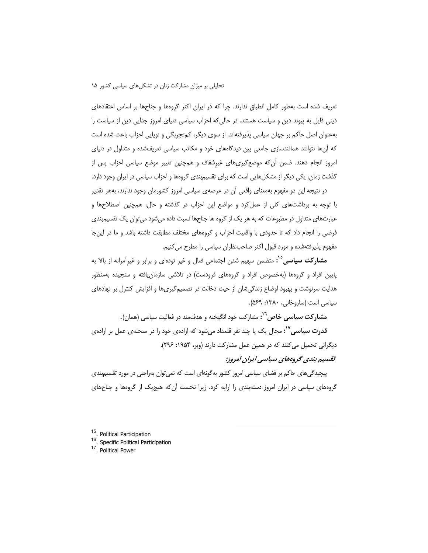تعریف شده است بهطور کامل انطباق ندارند. چرا که در ایران اکثر گروهها و جناحها بر اساس اعتقادهای دینی قایل به پیوند دین و سیاست هستند. در حالی که احزاب سیاسی دنیای امروز جدایی دین از سیاست را بهعنوان اصل حاکم بر جهان سیاسی پذیرفتهاند. از سوی دیگر، کمتجربگی و نوپایی احزاب باعث شده است که آنها نتوانند همانندسازی جامعی بین دیدگاههای خود و مکاتب سیاسی تعریفشده و متداول در دنیای امروز انجام دهند. ضمن اّن¢ه موضعگیریهای غیرشفاف و همچنین تغییر موضع سیاسی احزاب پس از گذشت زمان، یکی دیگر از مشکلهایی است که برای تقسیمبندی گروهها و احزاب سیاسی در ایران وجود دارد.

در نتیجه این دو مفهوم بهمعنای واقعی آن در عرصهی سیاسی امروز کشورمان وجود ندارند، بههر تقدیر با توجه به برداشتهای کلی از عمل کرد و مواضع این احزاب در گذشته و حال، همچنین اصطلاحها و عبارتهای متداول در مطبوعات که به هر یک از گروه ها جناحها نسبت داده میشود می توان یک تقسیم بندی فرضی را انجام داد که تا حدودی با واقعیت احزاب و گروههای مختلف مطابقت داشته باشد و ما در این جا مفهوم پذیرفتهشده و مورد قبول اکثر صاحب نظران سیاسی را مطرح می کنیم.

**مشارکت سیاسی<sup>10</sup>:** متضمن سهیم شدن اجتماعی فعال و غیر تودهای و برابر و غیرآمرانه از بالا به پایین افراد و گروهها (بهخصوص افراد و گروههای فرودست) در تلاشی سازمان یافته و سنجیده بهمنظور هدایت سرنوشت و بهبود اوضاع زندگیشان از حیث دخالت در تصمیمگیریها و افزایش کنترل بر نهادهای سیاسی است (ساروخانی، ۱۳۸۰: ۵۶۹).

مشار کت سیاسی خاص<sup>۱٬</sup>: مشار کت خود انگیخته و هدفءند در فعالیت سیاسی (همان).

**قدرت سیاسی<sup>٬۱۷</sup>:** مجال یک یا چند نفر قلمداد میشود که ارادهی خود را در صحنهی عمل بر ارادهی دیگرانی تحمیل می کنند که در همین عمل مشارکت دارند (وبر، ۱۹۵۴: ۲۹۶).

# تقسیم بندی گروههای سیاسی ایران امروز:

پیچیدگیهای حاکم بر فضای سیاسی امروز کشور بهگونهای است که نمی توان بهراحتی در مورد تقسیم بندی گروههای سیاسی در ایران امروز دستهبندی را ارایه کرد. زیرا نخست آن که هیچ یک از گروهها و جناحهای

<sup>15</sup>. Political Participation

<sup>16</sup>. Specific Political Participation

<sup>17</sup> Political Power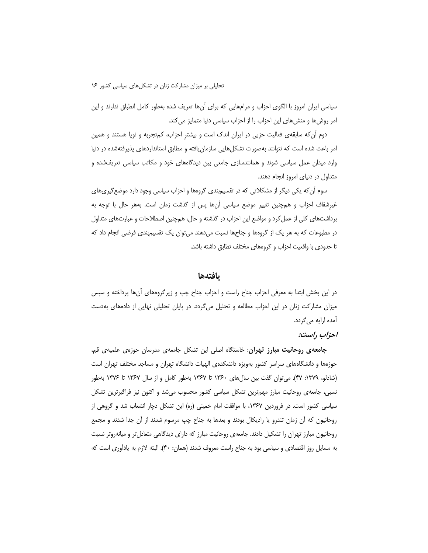سیاسی ایران امروز با الگوی احزاب و مرامهایی که برای آنها تعریف شده بهطور کامل انطباق ندارند و این امر روشها و منشهای این احزاب را از احزاب سیاسی دنیا متمایز می کند.

دوم أن كه سابقهى فعاليت حزبي در ايران اندک است و بيشتر احزاب، کمتجربه و نوپا هستند و همين امر باعث شده است که نتوانند بهصورت تشکلهایی سازمان یافته و مطابق استانداردهای پذیرفتهشده در دنیا وارد میدان عمل سیاسی شوند و همانندسازی جامعی بین دیدگاههای خود و مکاتب سیاسی تعریفشده و متداول در دنیای امروز انجام دهند.

سوم اُن که یکی دیگر از مشکلاتی که در تقسیمبندی گروهها و احزاب سیاسی وجود دارد موضع گیریهای غیرشفاف احزاب و همچنین تغییر موضع سیاسی آنها پس از گذشت زمان است. بههر حال با توجه به برداشتهای کلی از عمل کرد و مواضع این احزاب در گذشته و حال، همچنین اصطلاحات و عبارتهای متداول در مطبوعات که به هر یک از گروهها و جناحها نسبت میدهند می توان یک تقسیم بندی فرضی انجام داد که تا حدودی با واقعیت احزاب و گروههای مختلف تطابق داشته باشد.

### بافتهها

در این بخش ابتدا به معرفی احزاب جناح راست و احزاب جناح چپ و زیرگروههای آنها پرداخته و سپس میزان مشارکت زنان در این احزاب مطالعه و تحلیل میگردد. در پایان تحلیلی نهایی از دادههای بهدست آمده ارایه میگردد.

#### احزاب راست:

**جامعهی روحانیت مبارز تهران**: خاستگاه اصلی این تشکل جامعهی مدرسان حوزهی علمیهی قم، حوزهها و دانشگاههای سراسر کشور بهویژه دانشکدهی الهیات دانشگاه تهران و مساجد مختلف تهران است (شادلو، ۱۳۷۹: ۴۷). می توان گفت بین سال های ۱۳۶۰ تا ۱۳۶۷ بهطور کامل و از سال ۱۳۶۷ تا ۱۳۷۶ بهطور نسبی، جامعهی روحانیت مبارز مهمترین تشکل سیاسی کشور محسوب میشد و اکنون نیز فراگیرترین تشکل سیاسی کشور است. در فروردین ۱۳۶۷، با موافقت امام خمینی (ره) این تشکل دچار انشعاب شد و گروهی از روحانیون که أن زمان تندرو یا رادیکال بودند و بعدها به جناح چپ مرسوم شدند از أن جدا شدند و مجمع روحانیون مبارز تهران را تشکیل دادند. جامعهی روحانیت مبارز که دارای دیدگاهی متعادلتر و میانهروتر نسبت به مسایل روز اقتصادی و سیاسی بود به جناح راست معروف شدند (همان: ۴۰). البته لازم به یادآوری است که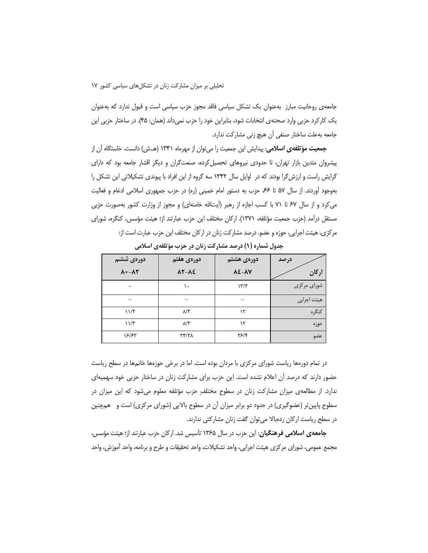جامعهی روحانیت مبارز بهعنوان یک تشکل سیاسی فاقد مجوز حزب سیاسی است و قبول ندارد که بهعنوان یک کارکرد حزبی وارد صحنهی انتخابات شود، بنابراین خود را حزب نمیداند (همان: ۴۵). در ساختار حزبی این جامعه بهعلت ساختار صنفي أن هيچ زني مشاركت ندارد.

**جمعیت مؤتلفهی اسلامی**: پیدایش این جمعیت را می توان از مهرماه ۱۳۴۱ (هــش) دانست. خاستگاه آن از پیشروان متدین بازار تهران، تا حدودی نیروهای تحصیل کرده، صنعتگران و دیگر اقشار جامعه بود که دارای گرایش راست و ارزش گرا بودند که در اوایل سال ۱۳۴۲ سه گروه از این افراد با پیوندی تشکیلاتی این تشکل را بهوجود اّوردند. از سال ۵۷ تا ۶۶، حزب به دستور امام خمینی (ره) در حزب جمهوری اسلامی ادغام و فعالیت می کرد و از سال ۶۷ تا ۷۱ با کسب اجازه از رهبر (آیتالله خامنهای) و مجوز از وزارت کشور بهصورت حزبی مستقل درآمد (حزب جمعیت مؤتلفه، ١٣٧١). اركان مختلف این حزب عبارتند از؛ هیئت مؤسس، كنگره، شورای مرکزی، هیئت اجرایی، حوزه و عضو. درصد مشارکت زنان در ارکان مختلف این حزب عبارت است از:

| دورەي ششم                         | دورهى هفتم                | دورەي ھشتم                | درصد        |
|-----------------------------------|---------------------------|---------------------------|-------------|
| $\Lambda$ + $-\Lambda$ $\Upsilon$ | $\lambda Y - \lambda \xi$ | $\lambda \xi - \lambda V$ | اركان       |
|                                   | ١.                        | $\frac{1}{\pi}$           | شورای مرکزی |
|                                   |                           | -                         | هيئت اجرايي |
| $11/\tau$                         | $\lambda/\tau$            | ۱۲                        | كنگره       |
| $11/\tau$                         | $\lambda/\tau$            | ۱۲                        | حوزه        |
| 18/85                             | <b>TY/71</b>              | $\frac{8}{5}$             | عضو         |

جدول شماره (۱) درصد مشارکت زنان در حزب مؤتلفهی اسلامی

در تمام دورهها ریاست شورای مرکزی با مردان بوده است. اما در برخی حوزهها خانمها در سطح ریاست حضور دارند که درصد آن اعلام نشده است. این حزب برای مشارکت زنان در ساختار حزبی خود سهمیهای ندارد. از مطالعهی میزان مشارکت زنان در سطوح مختلف ِ حزب مؤتلفه معلوم میشود که این میزان در سطوح پایینتر (عضوگیری) در حدود دو برابر میزان آن در سطوح بالایی (شورای مرکزی) است و همچنین در سطح ریاست ارکان ردهبالا می توان گفت زنان مشارکتی ندارند.

جامعهی اسلامی فرهنگیان: این حزب در سال ۱۳۶۵ تأسیس شد. ارکان حزب عبارتند از؛ هیئت مؤسس، مجمع عمومی، شورای مرکزی هیئت اجرایی، واحد تشکیلات، واحد تحقیقات و طرح و برنامه، واحد آموزش، واحد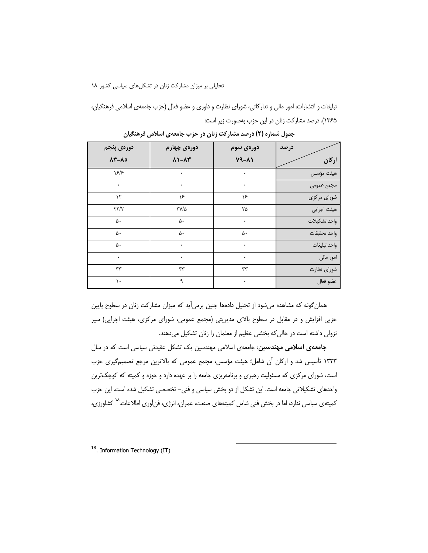تبلیغات و انتشارات، امور مالی و تدارکاتی، شورای نظارت و داوری و عضو فعال (حزب جامعهی اسلامی فرهنگیان، ۱۳۶۵). درصد مشارکت زنان در این حزب بهصورت زیر است:

| دورەي پنجم                    | دورەى چهارم                          | دورەى سوم | درصد         |
|-------------------------------|--------------------------------------|-----------|--------------|
| $\Lambda^{\star}$ - $\Lambda$ | $\lambda$ 1- $\lambda$ ۳             | $Y9 - A1$ | اركان        |
| 15/5                          | ٠                                    | $\bullet$ | هيئت مؤسس    |
| ۰                             | ٠                                    | ۰         | مجمع عمومى   |
| $\mathcal{N}$                 | ۱۶                                   | ۱۶        | شورای مرکزی  |
| $\tau\tau/\tau$               | $\mathbf{Y} \mathbf{Y} / \mathbf{0}$ | ۲۵        | هيئت اجرايي  |
| ۵۰                            | ۵۰                                   | $\bullet$ | واحد تشكيلات |
| ۵۰                            | ۵۰                                   | ۵۰        | واحد تحقيقات |
| ۵۰                            | ٠                                    | ۰         | واحد تبليغات |
| ٠                             |                                      | ۰         | امور مالي    |
| ٣٣                            | ٣٣                                   | ٣٣        | شوراى نظارت  |
| ١.                            | ٩                                    | $\bullet$ | عضو فعال     |

جدول شماره (۲) درصد مشارکت زنان در حزب جامعهی اسلامی فرهنگیان

همان گونه که مشاهده میشود از تحلیل دادهها چنین برمیآید که میزان مشارکت زنان در سطوح پایین حزبی افزایش و در مقابل در سطوح بالای مدیریتی (مجمع عمومی، شورای مرکزی، هیئت اجرایی) سیر نزولی داشته است در حالی که بخشی عظیم از معلمان را زنان تشکیل میدهند.

**جامعهی اسلامی مهندسین**: جامعهی اسلامی مهندسین یک تشکل عقیدتی سیاسی است که در سال ١٣٣٣ تأسيس شد و اركان أن شامل؛ هيئت مؤسس، مجمع عمومي كه بالاترين مرجع تصميم گيرى حزب است، شورای مرکزی که مسئولیت رهبری و برنامهریزی جامعه را بر عهده دارد و حوزه و کمیته که کوچکترین .<br>واحدهای تشکیلاتی جامعه است. این تشکل از دو بخش سیاسی و فنی– تخصصی تشکیل شده است. این حزب کمیتهی سیاسی ندارد، اما در بخش فنی شامل کمیتههای صنعت، عمران، انرژی، فن[وری اطلاعات، <sup>۱۸</sup> کشاورزی،

<sup>18</sup>. Information Technology (IT)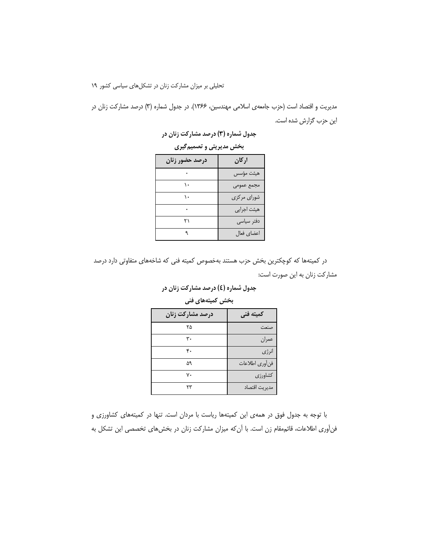مدیریت و اقتصاد است (حزب جامعهی اسلامی مهندسین، ۱۳۶۶). در جدول شماره (۳) درصد مشارکت زنان در این حزب گزارش شده است.

جدول شماره (۳) درصد مشارکت زنان در

بخش مدیریتی و تصمیم گیری

| درصد حضور زنان | اركان               |
|----------------|---------------------|
|                | هيئت مؤسس           |
|                | مجمع عمومى          |
|                | شورا <i>ی</i> مرکزی |
|                | هیئت اجرایی         |
| ۲۱             | دفتر سیاسی          |
|                | اعضاي فعال          |

در کمیتهها که کوچکترین بخش حزب هستند بهخصوص کمیته فنی که شاخههای متفاوتی دارد درصد مشارکت زنان به این صورت است:

با توجه به جدول فوق در همهى اين كميتهها رياست با مردان است. تنها در كميتههاى كشاورزى و فنأوري اطلاعات، قائممقام زن است. با أن كه ميزان مشاركت زنان در بخشهاي تخصصي اين تشكل به

 $\mathbf{r}\mathbf{r}$ 

مديريت اقتصاد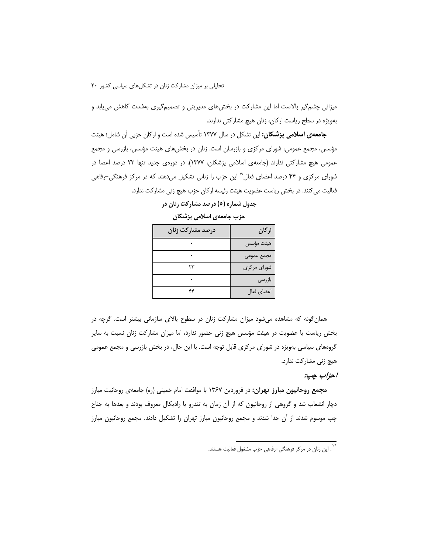میزانی چشم گیر بالاست اما این مشارکت در بخشهای مدیریتی و تصمیم گیری بهشدت کاهش می یابد و بهویژه در سطح ریاست ارکان، زنان هیچ مشارکتی ندارند.

جامعهی اسلامی پزشکان: این تشکل در سال ۱۳۷۷ تأسیس شده است و ارکان حزبی آن شامل؛ هیئت مؤسس، مجمع عمومی، شورای مرکزی و بازرسان است. زنان در بخشهای هیئت مؤسس، بازرسی و مجمع عمومی هیچ مشارکتی ندارند (جامعهی اسلامی پزشکان، ۱۳۷۷). در دورهی جدید تنها ۲۳ درصد اعضا در شورای مرکزی و ۴۴ درصد اعضای فعال`` این حزب را زنانی تشکیل میدهند که در مرکز فرهنگی-رفاهی فعالیت می کنند. در بخش ریاست عضویت هیئت رئیسه ارکان حزب هیچ زنی مشارکت ندارد.

| درصد مشاركت زنان | اركان       |
|------------------|-------------|
|                  | هيئت مؤسس   |
|                  | مجمع عمومى  |
| ۲۳               | شورای مرکزی |
|                  | بازرسى      |
| ۴۴               | اعضاي فعال  |

جدول شماره (٥) درصد مشارکت زنان در

حزب جامعهى اسلامى يزشكان

همان گونه که مشاهده میشود میزان مشارکت زنان در سطوح بالای سازمانی بیشتر است. گرچه در بخش ریاست یا عضویت در هیئت مؤسس هیچ زنی حضور ندارد، اما میزان مشارکت زنان نسبت به سایر گروههای سیاسی بهویژه در شورای مرکزی قابل توجه است. با این حال، در بخش بازرسی و مجمع عمومی هیچ زنی مشارکت ندارد.

احزاب ڇپ:

مجمع **روحانیون مبارز تهران:** در فروردین ۱۳۶۷ با موافقت امام خمینی (ره) جامعهی روحانیت مبارز دچار انشعاب شد و گروهی از روحانیون که از آن زمان به تندرو یا رادیکال معروف بودند و بعدها به جناح چپ موسوم شدند از آن جدا شدند و مجمع روحانیون مبارز تهران را تشکیل دادند. مجمع روحانیون مبارز

۱۹<br>۱. این زنان در مرکز فرهنگی–رفاهی حزب مشغول فعالیت هستند.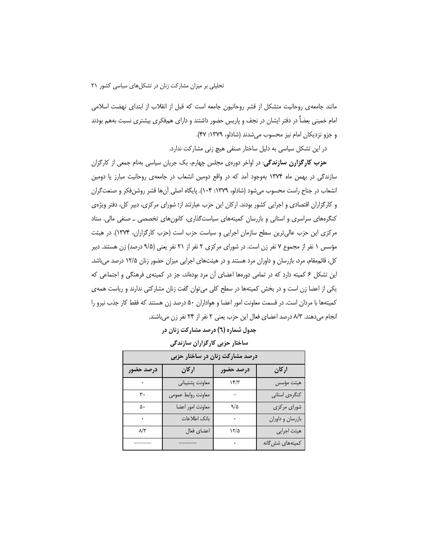مانند جامعهی روحانیت متشکل از قشر روحانیون جامعه است که قبل از انقلاب از ابتدای نهضت اسلامی امام خمینی بعضاً در دفتر ایشان در نجف و پاریس حضور داشتند و دارای همفکری بیشتری نسبت بههم بودند و جزو نزدیکان امام نیز محسوب میشدند (شادلو، ۱۳۷۹: ۴۷).

در این تشکل سیاسی به دلیل ساختار صنفی هیچ زنی مشارکت ندارد.

**حزب کارگزارن سازندگی**: در اواخر دورهی مجلس چهارم، یک جریان سیاسی بهنام جمعی از کارگزان سازندگی در بهمن ماه ۱۳۷۴ بهوجود آمد که در واقع دومین انشعاب در جامعهی روحانیت مبارز یا دومین انشعاب در جناح راست محسوب میشود (شادلو، ۱۳۷۹: ۱۰۴). پایگاه اصلی آنها قشر روشنفکر و صنعتگران و کارگزاران اقتصادی و اجرایی کشور بودند. ارکان این حزب عبارتند از؛ شورای مرکزی، دبیر کل، دفتر ویژهی کنگرههای سراسری و استانی و بازرسان کمیتههای سیاستگذاری، کانونهای تخصصی ــ صنفی مالی. ستاد مرکزی این حزب عالی ترین سطح سازمان اجرایی و سیاست حزب است (حزب کارگزاران، ۱۳۷۴). در هیئت مؤسس ١ نفر از مجموع ٧ نفر زن است. در شورای مرکزی ٢ نفر از ٢١ نفر یعنی (٩/۵ درصد) زن هستند. دبیر کل، قائم،مقام، مرد، بازرسان و داوران مرد هستند و در هیئتهای اجرایی میزان حضور زنان ۱۲/۵ درصد میباشد. این تشکل ۶ کمیته دارد که در تمامی دورهها اعضای أن مرد بودهاند، جز در کمیتهی فرهنگی و اجتماعی که یکی از اعضا زن است و در بخش کمیتهها در سطح کلی می توان گفت زنان مشارکتی ندارند و ریاست همهی کمیتهها با مردان است. در قسمت معاونت امور اعضا و هواداران ۵۰ درصد زن هستند که فقط کار جذب نیرو را انجام میدهند. ٨/٣ درصد اعضای فعال این حزب یعنی ٢ نفر از ٢۴ نفر زن میباشند.

## جدول شماره (٦) درصد مشارکت زنان در

### ساختار حزبی کارگزاران سازندگی

| درصد مشارکت زنان در ساختار حزبی |                    |           |                  |
|---------------------------------|--------------------|-----------|------------------|
| درصد حضور                       | اركان              | درصد حضور | اركان            |
|                                 | معاونت پشتيباني    | $\gamma$  | هيئت مؤسس        |
| ۳٠                              | معاونت روابط عمومى |           | كنگرەي استانى    |
| ۵۰                              | معاونت امور اعضا   | 9/2       | شوراي مركزي      |
|                                 | بانك اطلاعات       |           | بازرسان و داوران |
| $\lambda/\tau$                  | اعضاي فعال         | ۱۲/۵      | هیئت اجرایی      |
|                                 |                    |           | کمیتههای شش گانه |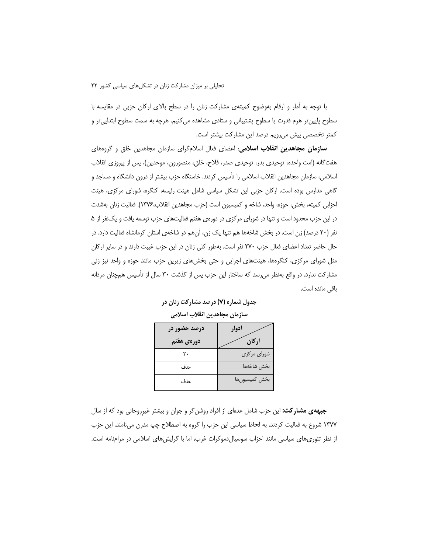با توجه به آمار و ارقام بهوضوح کمیتهی مشارکت زنان را در سطح بالای ارکان حزبی در مقایسه با سطوح پایین تر هرم قدرت یا سطوح پشتیبانی و ستادی مشاهده می کنیم. هرچه به سمت سطوح ابتدایی تر و كمتر تخصصي پيش مي,رويم درصد اين مشاركت بيشتر است.

**سازمان مجاهدین انقلاب اسلامی**: اعضای فعال اسلامگرای سازمان مجاهدین خلق و گروههای هفتگانه (امت واحده، توحیدی بدر، توحیدی صدر، فلاح، خلق، منصورون، موحدین)، پس از پیروزی انقلاب اسلامی، سازمان مجاهدین انقلاب اسلامی را تأسیس کردند. خاستگاه حزب بیشتر از درون دانشگاه و مساجد و گاهی مدارس بوده است. ارکان حزبی این تشکل سیاسی شامل هیئت رئیسه، کنگره، شورای مرکزی، هیئت احزابي كميته، بخش، حوزه، واحد، شاخه و كميسيون است (حزب مجاهدين انقلاب،١٣٧۶). فعاليت زنان بهشدت در این حزب محدود است و تنها در شورای مرکزی در دورهی هفتم فعالیتهای حزب توسعه یافت و یکنفر از ۵ نفر (۲۰ درصد) زن است. در بخش شاخهها هم تنها یک زن، آنهم در شاخهی استان کرمانشاه فعالیت دارد. در حال حاضر تعداد اعضای فعال حزب ٢٧٠ نفر است. بهطور کلی زنان در این حزب غیبت دارند و در سایر ارکان مثل شورای مرکزی، کنگرهها، هیئتهای اجرایی و حتی بخشهای زیرین حزب مانند حوزه و واحد نیز زنی مشارکت ندارد. در واقع بهنظر می رسد که ساختار این حزب پس از گذشت ۳۰ سال از تأسیس همچنان مردانه باقی مانده است.

| درصد حضور در | ادوار         |
|--------------|---------------|
| دورەي ھفتم   | اركان         |
|              | شوراي مركزي   |
| حذف          | بخش شاخەها    |
| حذف          | بخش كميسيونها |

جدول شماره (۷) درصد مشارکت زنان در سازمان مجاهدين انقلاب اسلامى

جبهه ی مشارکت: این حزب شامل عدهای از افراد روشن گر و جوان و بیشتر غیرروحانی بود که از سال ۱۳۷۷ شروع به فعالیت کردند. به لحاظ سیاسی این حزب را گروه به اصطلاح چپ مدرن مینامند. این حزب از نظر تئوری های سیاسی مانند احزاب سوسیال دموکرات غرب، اما با گرایش های اسلامی در مرامنامه است.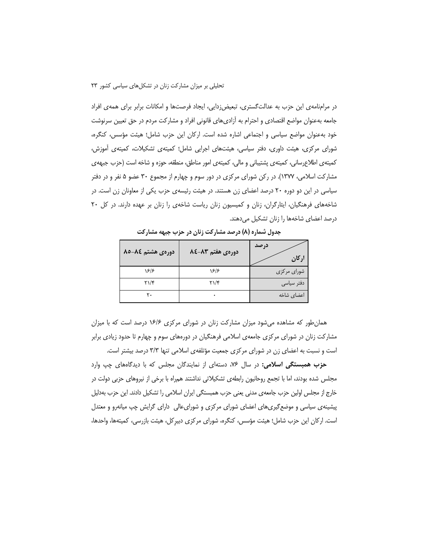در مرامنامهی این حزب به عدالتگستری، تبعیضزدایی، ایجاد فرصتها و امکانات برابر برای همهی افراد جامعه بهعنوان مواضع اقتصادي و احترام به أزاديهاي قانوني افراد و مشاركت مردم در حق تعيين سرنوشت خود بهعنوان مواضع سیاسی و اجتماعی اشاره شده است. ارکان این حزب شامل؛ هیئت مؤسس، کنگره، شورای مرکزی، هیئت داوری، دفتر سیاسی، هیئتهای اجرایی شامل؛ کمیتهی تشکیلات، کمیتهی آموزش، کمیتهی اطلاعرسانی، کمیتهی پشتیبانی و مالی، کمیتهی امور مناطق، منطقه، حوزه و شاخه است (حزب جبههی مشارکت اسلامی، ۱۳۷۷). در رکن شورای مرکزی در دور سوم و چهارم از مجموع ۳۰ عضو ۵ نفر و در دفتر سیاسی در این دو دوره ۲۰ درصد اعضای زن هستند. در هیئت رئیسهی حزب یکی از معاونان زن است. در شاخههای فرهنگیان، ایثارگران، زنان و کمیسیون زنان ریاست شاخهی را زنان بر عهده دارند. در کل ۲۰ درصد اعضای شاخهها را زنان تشکیل میدهند.

| دورهی هشتم ۸۵-۸۵              | دورهى هفتم 83-28 | درصد<br>اركان |
|-------------------------------|------------------|---------------|
| 18/8                          | 18/8             | شورای مرکزی   |
| $\Upsilon \setminus \Upsilon$ | $Y\setminus Y$   | دفتر سیاسی    |
| ٢٠                            |                  | اعضاى شاخه    |

جدول شماره (۸) درصد مشارکت زنان در حزب جبهه مشارکت

همان طور که مشاهده می شود میزان مشارکت زنان در شورای مرکزی ۱۶/۶ درصد است که با میزان مشارکت زنان در شورای مرکزی جامعهی اسلامی فرهنگیان در دورههای سوم و چهارم تا حدود زیادی برابر است و نسبت به اعضای زن در شورای مرکزی جمعیت مؤتلفهی اسلامی تنها ۳/۳ درصد بیشتر است.

حزب همبستگی اسلامی: در سال ۷۶، دستهای از نمایندگان مجلس که با دیدگاههای چپ وارد مجلس شده بودند، اما با تجمع روحانیون رابطهی تشکیلاتی نداشتند همراه با برخی از نیروهای حزبی دولت در خارج از مجلس اولین حزب جامعهی مدنی یعنی حزب همبستگی ایران اسلامی را تشکیل دادند. این حزب بهدلیل پیشینهی سیاسی و موضع گیریهای اعضای شورای مرکزی و شورای عالی دارای گرایش چپ میانهرو و معتدل است. ارکان این حزب شامل؛ هیئت مؤسس، کنگره، شورای مرکزی دبیرکل، هیئت بازرسی، کمیتهها، واحدها،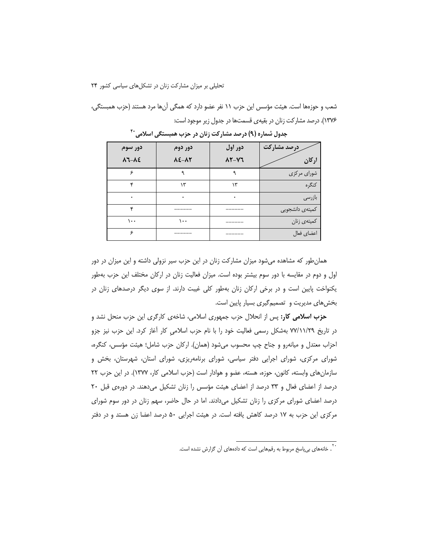شعب و حوزهها است. هیئت مؤسس این حزب ١١ نفر عضو دارد که همگی آنها مرد هستند (حزب همبستگی، ١٣٧۶). درصد مشاركت زنان در بقيهى قسمتها در جدول زير موجود است:

| دور سوم                  | دور دوم                  | دور اول | درصد مشاركت         |
|--------------------------|--------------------------|---------|---------------------|
| $\lambda$ 7- $\lambda$ ٤ | $\lambda$ ٤- $\lambda$ ۲ | 12-17   | اركان               |
| ء                        | ٩                        | ٩       | شورای مرکزی         |
| ۴c                       | ۱۳                       | ۱۳      | كنگره               |
| ٠                        |                          |         | بازرسى              |
| ۴                        |                          |         | كميتهى دانشجويي     |
| ۱۰۰                      | ۱۰۰                      |         | کمیته <i>ی</i> زنان |
| ç                        |                          |         | اعضاي فعال          |

جدول شماره (۹) درصد مشارکت زنان در حزب همبستگی اسلامی <sup>۲۰</sup>

همان طور که مشاهده می شود میزان مشارکت زنان در این حزب سیر نزولی داشته و این میزان در دور اول و دوم در مقایسه با دور سوم بیشتر بوده است. میزان فعالیت زنان در ارکان مختلف این حزب بهطور یکنواخت پایین است و در برخی ارکان زنان بهطور کلی غیبت دارند. از سوی دیگر درصدهای زنان در بخشهای مدیریت و تصمیم گیری بسیار پایین است.

حزب اسلامی کار: پس از انحلال حزب جمهوری اسلامی، شاخهی کارگری این حزب منحل نشد و در تاریخ ۷۷/۱۱/۲۹ بهشکل رسمی فعالیت خود را با نام حزب اسلامی کار آغاز کرد. این حزب نیز جزو احزاب معتدل و میانهرو و جناح چپ محسوب میشود (همان). ارکان حزب شامل؛ هیئت مؤسس، کنگره، شورای مرکزی، شورای اجرایی دفتر سیاسی، شورای برنامهریزی، شورای استان، شهرستان، بخش و سازمان های وابسته، کانون، حوزه، هسته، عضو و هوادار است (حزب اسلامی کار، ۱۳۷۷). در این حزب ۲۲ درصد از اعضای فعال و ۳۳ درصد از اعضای هیئت مؤسس را زنان تشکیل می دهند. در دورهی قبل ۲۰ درصد اعضای شورای مرکزی را زنان تشکیل میدادند. اما در حال حاضر، سهم زنان در دور سوم شورای مرکزی این حزب به ۱۷ درصد کاهش یافته است. در هیئت اجرایی ۵۰ درصد اعضا زن هستد و در دفتر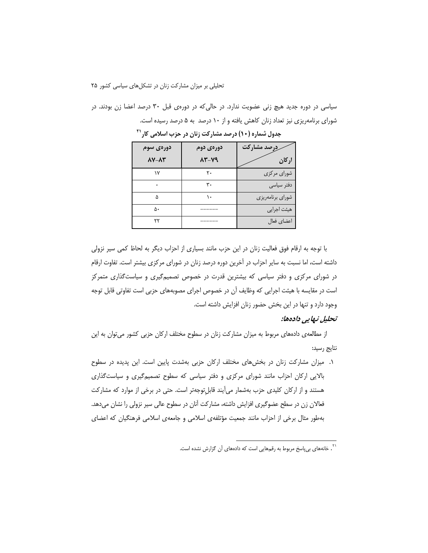سیاسی در دوره جدید هیچ زنی عضویت ندارد. در حالی که در دورهی قبل ۳۰ درصد اعضا زن بودند. در شورای برنامهریزی نیز تعداد زنان کاهش یافته و از ۱۰ درصد به ۵ درصد رسیده است.

| دورەى سوم                | دورەى دوم | ررصد مشاركت      |
|--------------------------|-----------|------------------|
| $\Lambda$ Y- $\Lambda$ ۳ | 13-19     | اركان            |
| ۱۷                       | ٢٠        | شورای مرکزی      |
|                          | ۳٠        | دفتر سياسى       |
| ۵                        |           | شورای برنامهریزی |
| ۵۰                       |           | هيئت اجرايي      |
| ٢٢                       |           | اعضاي فعال       |

جدول شماره (۱۰) درصد مشارکت زنان در حزب اسلامی کار<sup>۲۱</sup>

با توجه به ارقام فوق فعالیت زنان در این حزب مانند بسیاری از احزاب دیگر به لحاظ کمی سیر نزولی داشته است، اما نسبت به سایر احزاب در آخرین دوره درصد زنان در شورای مرکزی بیشتر است. تفاوت ارقام در شورای مرکزی و دفتر سیاسی که بیشترین قدرت در خصوص تصمیمگیری و سیاستگذاری متمرکز است در مقایسه با هیئت اجرایی که وظایف آن در خصوص اجرای مصوبههای حزبی است تفاوتی قابل توجه وجود دارد و تنها در این بخش حضور زنان افزایش داشته است.

#### تحليل نـهايي دادهها:

از مطالعهی دادههای مربوط به میزان مشارکت زنان در سطوح مختلف ارکان حزبی کشور می توان به این نتايج رسيد:

۱. میزان مشارکت زنان در بخشهای مختلف ارکان حزبی بهشدت پایین است. این پدیده در سطوح بالایی ارکان احزاب مانند شورای مرکزی و دفتر سیاسی که سطوح تصمیم گیری و سیاست گذاری هستند و از ارکان کلیدی حزب بهشمار میآیند قابل توجه تر است. حتی در برخی از موارد که مشارکت فعالان زن در سطح عضوگیری افزایش داشته، مشارکت آنان در سطوح عالی سیر نزولی را نشان میدهد. بهطور مثال برخی از احزاب مانند جمعیت مؤتلفهی اسلامی و جامعهی اسلامی فرهنگیان که اعضای

<sup>&</sup>lt;sup>۲۱</sup> . خانههای ب<sub>ه ن</sub>یاسخ مربوط به رقمهایی است که دادههای آن گزارش نشده است.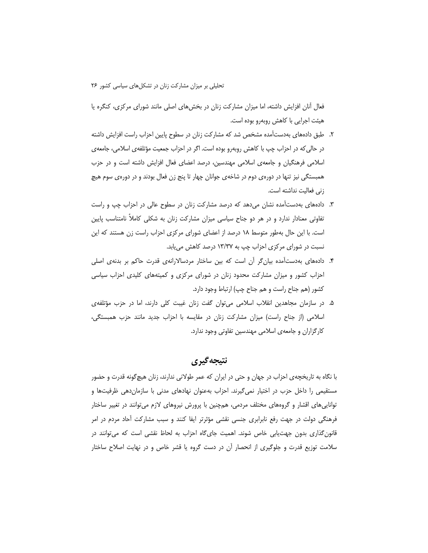فعال آنان افزایش داشته، اما میزان مشارکت زنان در بخشهای اصلی مانند شورای مرکزی، کنگره یا هیئت اجرایی با کاهش روبهرو بوده است.

- ۲. طبق دادههای بهدستآمده مشخص شد که مشارکت زنان در سطوح پایین احزاب راست افزایش داشته در حالي كه در احزاب چپ با كاهش روبهرو بوده است. اگر در احزاب جمعيت مؤتلفهي اسلامي، جامعهي اسلامی فرهنگیان و جامعهی اسلامی مهندسین، درصد اعضای فعال افزایش داشته است و در حزب همبستگی نیز تنها در دورهی دوم در شاخهی جوانان چهار تا پنج زن فعال بودند و در دورهی سوم هیچ زنی فعالیت نداشته است.
- ۳. دادههای بهدستآمده نشان میدهد که درصد مشارکت زنان در سطوح عالی در احزاب چپ و راست تفاوتی معنادار ندارد و در هر دو جناح سیاسی میزان مشارکت زنان به شکلی کاملاً نامتناسب پایین است. با این حال بهطور متوسط ۱۸ درصد از اعضای شورای مرکزی احزاب راست زن هستند که این نسبت در شورای مرکزی احزاب چپ به ۱۳/۳۷ درصد کاهش می یابد.
- ۴. دادههای بهدستآمده بیان گر آن است که بین ساختار مردسالارانهی قدرت حاکم بر بدنهی اصلی احزاب کشور و میزان مشارکت محدود زنان در شورای مرکزی و کمیتههای کلیدی احزاب سیاسی کشور (هم جناح راست و هم جناح چپ) ارتباط وجود دارد.
- ۵. در سازمان مجاهدین انقلاب اسلامی میتوان گفت زنان غیبت کلی دارند، اما در حزب مؤتلفهی اسلامی (از جناح راست) میزان مشارکت زنان در مقایسه با احزاب جدید مانند حزب همبستگی، کارگزاران و جامعهی اسلامی مهندسین تفاوتی وجود ندارد.

# نتيجه گيري

با نگاه به تاریخچهی احزاب در جهان و حتی در ایران که عمر طولانی ندارند، زنان هیچگونه قدرت و حضور مستقیمی را داخل حزب در اختیار نمیگیرند. احزاب بهعنوان نهادهای مدنی با سازماندهی ظرفیتها و تواناییهای اقشار و گروههای مختلف مردمی، همچنین با پرورش نیروهای لازم میتوانند در تغییر ساختار فرهنگی دولت در جهت رفع نابرابری جنسی نقشی مؤثرتر ایفا کنند و سبب مشارکت آحاد مردم در امر قانونگذاری بدون جهتیابی خاص شوند. اهمیت جایگاه احزاب به لحاظ نقشی است که میتوانند در سلامت توزیع قدرت و جلوگیری از انحصار اُن در دست گروه یا قشر خاص و در نهایت اصلاح ساختار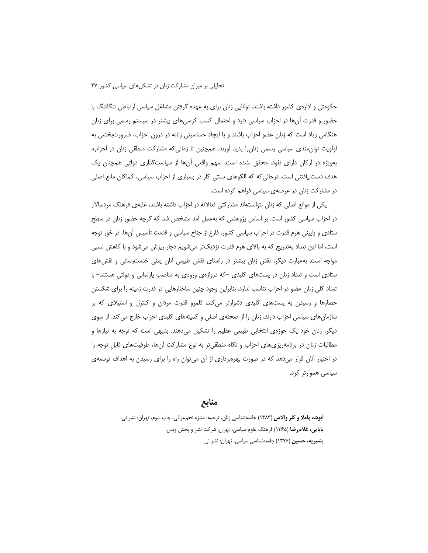حکومتی و ادارهی کشور داشته باشند. توانایی زنان برای به عهده گرفتن مشاغل سیاسی ارتباطی تنگاتنگ با حضور و قدرت آنها در احزاب سیاسی دارد و احتمال کسب کرسی های بیشتر در سیستم رسمی برای زنان هنگامی زیاد است که زنان عضو احزاب باشند و با ایجاد حساسیتی زنانه در درون احزاب، ضرورتبخشی به اولویت توان مندی سیاسی رسمی زنان را پدید آورند. هم چنین تا زمانی که مشارکت منطقی زنان در احزاب، بهویژه در ارکان دارای نفوذ، محقق نشده است، سهم واقعی آنها از سیاستگذاری دولتی همچنان یک هدف دستنیافتنی است. درحالی که که الگوهای سنتی کار در بسیاری از احزاب سیاسی، کماکان مانع اصلی در مشارکت زنان در عرصهی سیاسی فراهم کرده است.

یکی از موانع اصلی که زنان نتوانستهاند مشارکتی فعالانه در احزاب داشته باشند، غلبهی فرهنگ مردسالار در احزاب سیاسی کشور است. بر اساس پژوهشی که بهعمل آمد مشخص شد که گرچه حضور زنان در سطح ستادی و پایینی هرم قدرت در احزاب سیاسی کشور، فارغ از جناح سیاسی و قدمت تأسیس آنها، در خور توجه است، اما این تعداد بهتدریج که به بالای هرم قدرت نزدیکتر میشویم دچار ریزش میشود و با کاهش نسبی مواجه است. بهعبارت دیگر، نقش زنان بیشتر در راستای نقش طبیعی آنان یعنی خدمت رسانی و نقش های ستادی است و تعداد زنان در پستهای کلیدی –که دروازهی ورودی به مناصب پارلمانی و دولتی هستند– با تعداد کلی زنان عضو در احزاب تناسب ندارد. بنابراین وجود چنین ساختارهایی در قدرت زمینه را برای شکستن حصارها و رسیدن به پستهای کلیدی دشوارتر میکند، قلمرو قدرت مردان و کنترل و استیلای که بر سازمانهای سیاسی احزاب دارند، زنان را از صحنهی اصلی و کمیتههای کلیدی احزاب خارج می کند. از سوی دیگر، زنان خود یک حوزهی انتخابی طبیعی عظیم را تشکیل میدهند. بدیهی است که توجه به نیازها و مطالبات زنان در برنامهریزیهای احزاب و نگاه منطقی تر به نوع مشارکت آنها، ظرفیتهای قابل توجه را در اختیار آنان قرار میدهد که در صورت بهرهبرداری از آن میتوان راه را برای رسیدن به اهداف توسعهی سیاسی هموارتر کرد.

## منابع

**آبوت، پاملا و کلر والاس (١٣٨٣)** جامعهشناسي زنان، ترجمه: منيژه نجمءراقي، چاپ سوم، تهران: نشر ني. **بابایی، غلام رضا (۱۳۶**۵) فرهنگ علوم سیاسی، تهران: شرکت نشر و پخش ویس. بشیریه، حسین (۱۳۷۶) جامعهشناسی سیاسی، تهران: نشر نی.